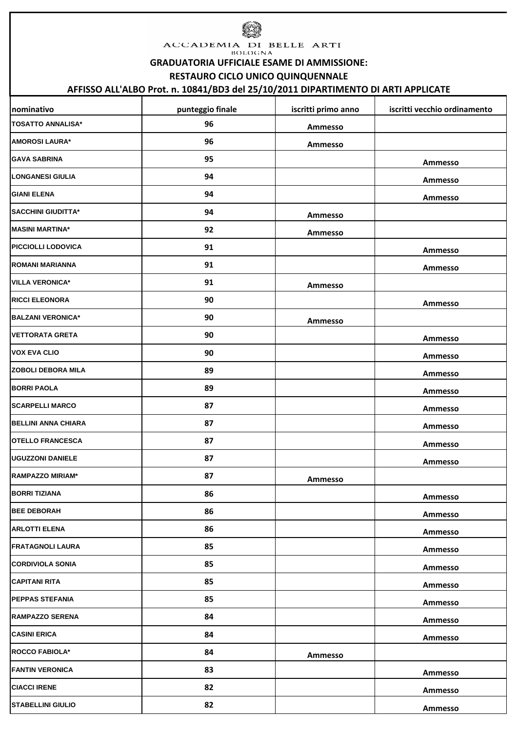

ACCADEMIA DI BELLE ARTI **BOLOGNA** 

**GRADUATORIA UFFICIALE ESAME DI AMMISSIONE:**

**RESTAURO CICLO UNICO QUINQUENNALE** 

## **AFFISSO ALL'ALBO Prot. n. 10841/BD3 del 25/10/2011 DIPARTIMENTO DI ARTI APPLICATE**

| nominativo                 | punteggio finale | iscritti primo anno | iscritti vecchio ordinamento |
|----------------------------|------------------|---------------------|------------------------------|
| <b>TOSATTO ANNALISA*</b>   | 96               | Ammesso             |                              |
| <b>AMOROSI LAURA*</b>      | 96               | Ammesso             |                              |
| <b>GAVA SABRINA</b>        | 95               |                     | Ammesso                      |
| <b>LONGANESI GIULIA</b>    | 94               |                     | Ammesso                      |
| <b>GIANI ELENA</b>         | 94               |                     | Ammesso                      |
| <b>SACCHINI GIUDITTA*</b>  | 94               | Ammesso             |                              |
| <b>MASINI MARTINA*</b>     | 92               | Ammesso             |                              |
| <b>PICCIOLLI LODOVICA</b>  | 91               |                     | Ammesso                      |
| <b>ROMANI MARIANNA</b>     | 91               |                     | Ammesso                      |
| <b>VILLA VERONICA*</b>     | 91               | Ammesso             |                              |
| <b>RICCI ELEONORA</b>      | 90               |                     | Ammesso                      |
| <b>BALZANI VERONICA*</b>   | 90               | Ammesso             |                              |
| <b>VETTORATA GRETA</b>     | 90               |                     | Ammesso                      |
| <b>VOX EVA CLIO</b>        | 90               |                     | Ammesso                      |
| <b>ZOBOLI DEBORA MILA</b>  | 89               |                     | Ammesso                      |
| <b>BORRI PAOLA</b>         | 89               |                     | Ammesso                      |
| <b>SCARPELLI MARCO</b>     | 87               |                     | Ammesso                      |
| <b>BELLINI ANNA CHIARA</b> | 87               |                     | Ammesso                      |
| <b>OTELLO FRANCESCA</b>    | 87               |                     | Ammesso                      |
| <b>UGUZZONI DANIELE</b>    | 87               |                     | Ammesso                      |
| <b>RAMPAZZO MIRIAM*</b>    | 87               | Ammesso             |                              |
| <b>BORRI TIZIANA</b>       | 86               |                     | Ammesso                      |
| <b>BEE DEBORAH</b>         | 86               |                     | Ammesso                      |
| <b>ARLOTTI ELENA</b>       | 86               |                     | Ammesso                      |
| <b>FRATAGNOLI LAURA</b>    | 85               |                     | Ammesso                      |
| <b>CORDIVIOLA SONIA</b>    | 85               |                     | Ammesso                      |
| <b>CAPITANI RITA</b>       | 85               |                     | Ammesso                      |
| <b>PEPPAS STEFANIA</b>     | 85               |                     | Ammesso                      |
| <b>RAMPAZZO SERENA</b>     | 84               |                     | Ammesso                      |
| <b>CASINI ERICA</b>        | 84               |                     | Ammesso                      |
| <b>ROCCO FABIOLA*</b>      | 84               | Ammesso             |                              |
| <b>FANTIN VERONICA</b>     | 83               |                     | Ammesso                      |
| <b>CIACCI IRENE</b>        | 82               |                     | Ammesso                      |
| <b>STABELLINI GIULIO</b>   | 82               |                     | Ammesso                      |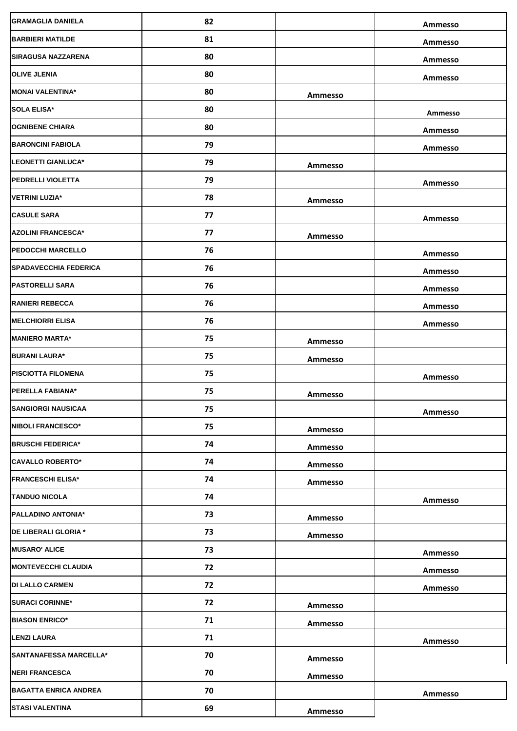| <b>GRAMAGLIA DANIELA</b>      | 82 |         | <b>Ammesso</b> |
|-------------------------------|----|---------|----------------|
| <b>BARBIERI MATILDE</b>       | 81 |         | Ammesso        |
| <b>SIRAGUSA NAZZARENA</b>     | 80 |         | Ammesso        |
| <b>OLIVE JLENIA</b>           | 80 |         | Ammesso        |
| <b>MONAI VALENTINA*</b>       | 80 | Ammesso |                |
| <b>SOLA ELISA*</b>            | 80 |         | Ammesso        |
| <b>OGNIBENE CHIARA</b>        | 80 |         | Ammesso        |
| <b>BARONCINI FABIOLA</b>      | 79 |         | Ammesso        |
| <b>LEONETTI GIANLUCA*</b>     | 79 | Ammesso |                |
| <b>PEDRELLI VIOLETTA</b>      | 79 |         | Ammesso        |
| <b>VETRINI LUZIA*</b>         | 78 | Ammesso |                |
| <b>CASULE SARA</b>            | 77 |         | Ammesso        |
| <b>AZOLINI FRANCESCA*</b>     | 77 | Ammesso |                |
| <b>PEDOCCHI MARCELLO</b>      | 76 |         | Ammesso        |
| <b>SPADAVECCHIA FEDERICA</b>  | 76 |         | Ammesso        |
| <b>PASTORELLI SARA</b>        | 76 |         | Ammesso        |
| <b>RANIERI REBECCA</b>        | 76 |         | Ammesso        |
| <b>MELCHIORRI ELISA</b>       | 76 |         | Ammesso        |
| <b>MANIERO MARTA*</b>         | 75 | Ammesso |                |
| <b>BURANI LAURA*</b>          | 75 | Ammesso |                |
| <b>PISCIOTTA FILOMENA</b>     | 75 |         | Ammesso        |
| PERELLA FABIANA*              | 75 | Ammesso |                |
| <b>SANGIORGI NAUSICAA</b>     | 75 |         | Ammesso        |
| <b>NIBOLI FRANCESCO*</b>      | 75 | Ammesso |                |
| <b>BRUSCHI FEDERICA*</b>      | 74 | Ammesso |                |
| <b>CAVALLO ROBERTO*</b>       | 74 | Ammesso |                |
| <b>FRANCESCHI ELISA*</b>      | 74 | Ammesso |                |
| <b>TANDUO NICOLA</b>          | 74 |         | Ammesso        |
| <b>PALLADINO ANTONIA*</b>     | 73 | Ammesso |                |
| DE LIBERALI GLORIA *          | 73 | Ammesso |                |
| <b>MUSARO' ALICE</b>          | 73 |         | Ammesso        |
| <b>MONTEVECCHI CLAUDIA</b>    | 72 |         | Ammesso        |
| <b>DI LALLO CARMEN</b>        | 72 |         | Ammesso        |
| <b>SURACI CORINNE*</b>        | 72 | Ammesso |                |
| <b>BIASON ENRICO*</b>         | 71 | Ammesso |                |
| <b>LENZI LAURA</b>            | 71 |         | Ammesso        |
| <b>SANTANAFESSA MARCELLA*</b> | 70 | Ammesso |                |
| <b>NERI FRANCESCA</b>         | 70 | Ammesso |                |
| <b>BAGATTA ENRICA ANDREA</b>  | 70 |         | Ammesso        |
| <b>STASI VALENTINA</b>        | 69 | Ammesso |                |